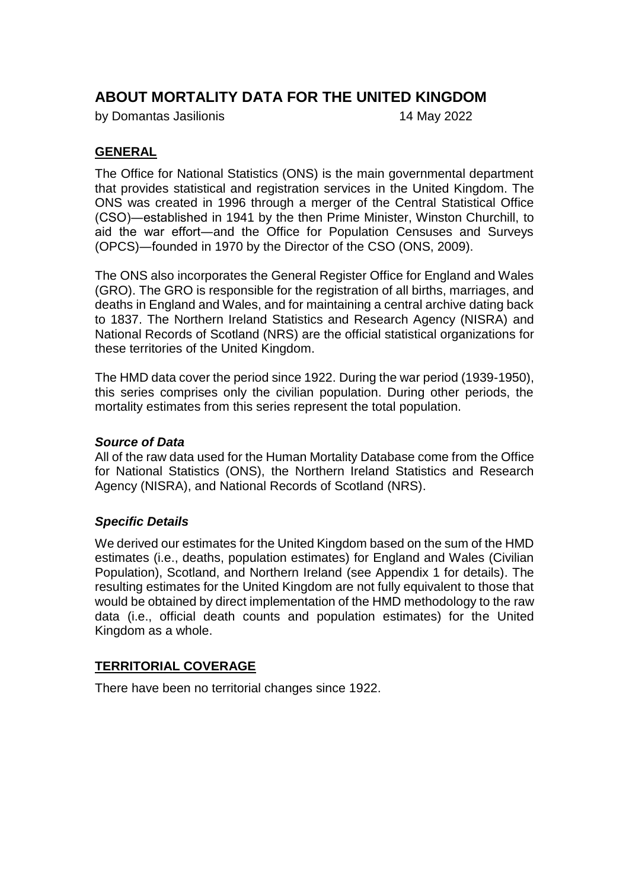# **ABOUT MORTALITY DATA FOR THE UNITED KINGDOM**

by Domantas Jasilionis 14 May 2022

## **GENERAL**

The Office for National Statistics (ONS) is the main governmental department that provides statistical and registration services in the United Kingdom. The ONS was created in 1996 through a merger of the Central Statistical Office (CSO)―established in 1941 by the then Prime Minister, Winston Churchill, to aid the war effort―and the Office for Population Censuses and Surveys (OPCS)―founded in 1970 by the Director of the CSO (ONS, 2009).

The ONS also incorporates the General Register Office for England and Wales (GRO). The GRO is responsible for the registration of all births, marriages, and deaths in England and Wales, and for maintaining a central archive dating back to 1837. The Northern Ireland Statistics and Research Agency (NISRA) and National Records of Scotland (NRS) are the official statistical organizations for these territories of the United Kingdom.

The HMD data cover the period since 1922. During the war period (1939-1950), this series comprises only the civilian population. During other periods, the mortality estimates from this series represent the total population.

#### *Source of Data*

All of the raw data used for the Human Mortality Database come from the Office for National Statistics (ONS), the Northern Ireland Statistics and Research Agency (NISRA), and National Records of Scotland (NRS).

#### *Specific Details*

We derived our estimates for the United Kingdom based on the sum of the HMD estimates (i.e., deaths, population estimates) for England and Wales (Civilian Population), Scotland, and Northern Ireland (see Appendix 1 for details). The resulting estimates for the United Kingdom are not fully equivalent to those that would be obtained by direct implementation of the HMD methodology to the raw data (i.e., official death counts and population estimates) for the United Kingdom as a whole.

#### **TERRITORIAL COVERAGE**

There have been no territorial changes since 1922.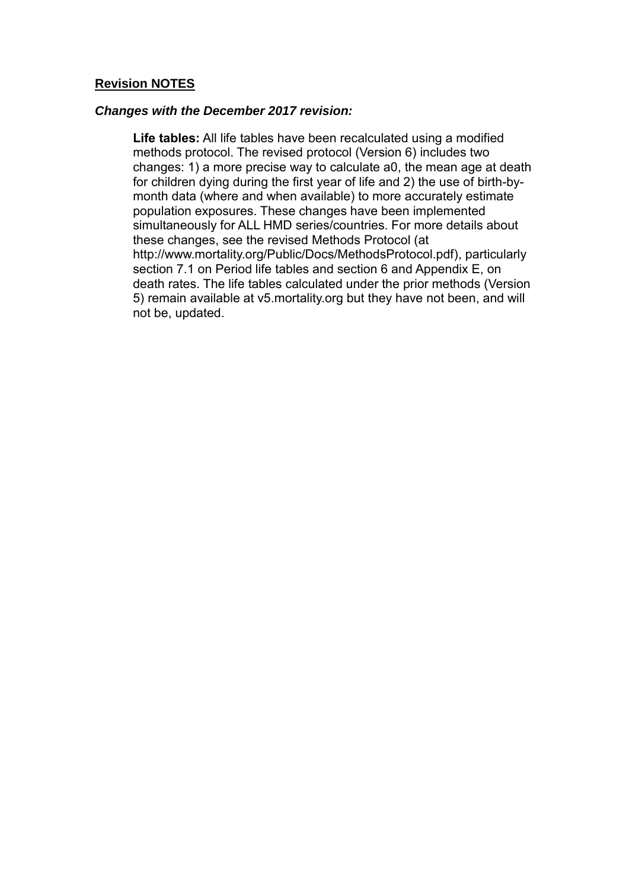#### **Revision NOTES**

#### *Changes with the December 2017 revision:*

**Life tables:** All life tables have been recalculated using a modified methods protocol. The revised protocol (Version 6) includes two changes: 1) a more precise way to calculate a0, the mean age at death for children dying during the first year of life and 2) the use of birth-bymonth data (where and when available) to more accurately estimate population exposures. These changes have been implemented simultaneously for ALL HMD series/countries. For more details about these changes, see the revised Methods Protocol (at http://www.mortality.org/Public/Docs/MethodsProtocol.pdf), particularly section 7.1 on Period life tables and section 6 and Appendix E, on death rates. The life tables calculated under the prior methods (Version 5) remain available at v5.mortality.org but they have not been, and will not be, updated.